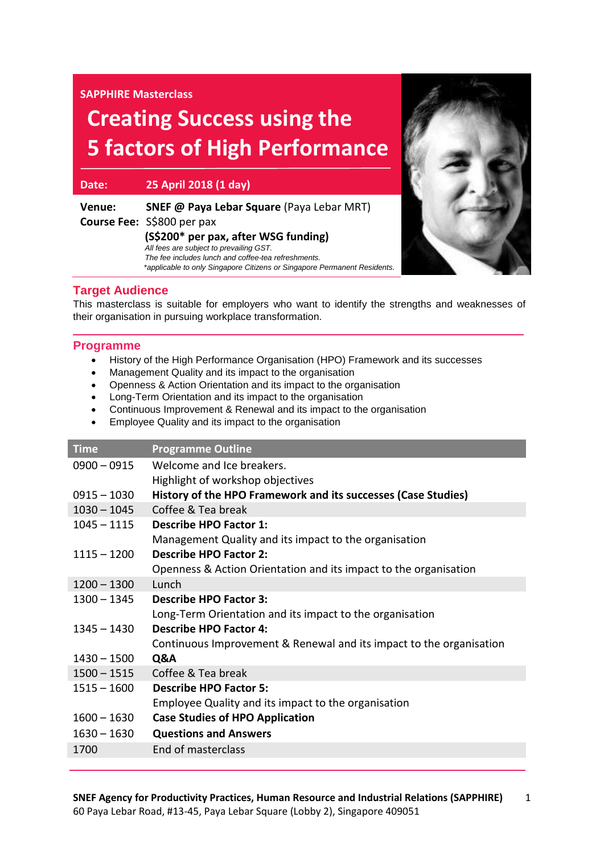**SAPPHIRE Masterclass**

# **Creating Success using the 5 factors of High Performance**

**Date: 25 April 2018 (1 day)**

| Venue: | <b>SNEF @ Paya Lebar Square (Paya Lebar MRT)</b>                         |
|--------|--------------------------------------------------------------------------|
|        | Course Fee: S\$800 per pax                                               |
|        | (S\$200* per pax, after WSG funding)                                     |
|        | All fees are subject to prevailing GST.                                  |
|        | The fee includes lunch and coffee-tea refreshments.                      |
|        | *applicable to only Singapore Citizens or Singapore Permanent Residents. |



## **Target Audience**

This masterclass is suitable for employers who want to identify the strengths and weaknesses of their organisation in pursuing workplace transformation.

### **Programme**

- History of the High Performance Organisation (HPO) Framework and its successes
- Management Quality and its impact to the organisation
- Openness & Action Orientation and its impact to the organisation
- Long-Term Orientation and its impact to the organisation
- Continuous Improvement & Renewal and its impact to the organisation
- Employee Quality and its impact to the organisation

| <b>Time</b>   | <b>Programme Outline</b>                                            |
|---------------|---------------------------------------------------------------------|
| $0900 - 0915$ | Welcome and Ice breakers.                                           |
|               | Highlight of workshop objectives                                    |
| $0915 - 1030$ | History of the HPO Framework and its successes (Case Studies)       |
| $1030 - 1045$ | Coffee & Tea break                                                  |
| $1045 - 1115$ | <b>Describe HPO Factor 1:</b>                                       |
|               | Management Quality and its impact to the organisation               |
| $1115 - 1200$ | <b>Describe HPO Factor 2:</b>                                       |
|               | Openness & Action Orientation and its impact to the organisation    |
| $1200 - 1300$ | Lunch                                                               |
| 1300 – 1345   | Describe HPO Factor 3:                                              |
|               | Long-Term Orientation and its impact to the organisation            |
| $1345 - 1430$ | <b>Describe HPO Factor 4:</b>                                       |
|               | Continuous Improvement & Renewal and its impact to the organisation |
| $1430 - 1500$ | Q&A                                                                 |
| $1500 - 1515$ | Coffee & Tea break                                                  |
| $1515 - 1600$ | <b>Describe HPO Factor 5:</b>                                       |
|               | Employee Quality and its impact to the organisation                 |
| $1600 - 1630$ | <b>Case Studies of HPO Application</b>                              |
| $1630 - 1630$ | <b>Questions and Answers</b>                                        |
| 1700          | End of masterclass                                                  |
|               |                                                                     |